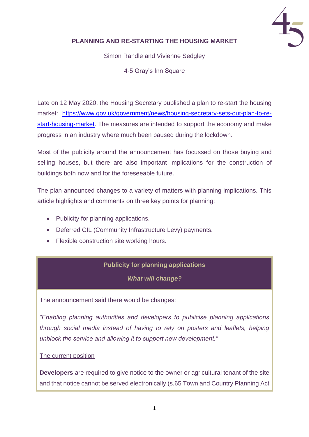

## **PLANNING AND RE-STARTING THE HOUSING MARKET**

Simon Randle and Vivienne Sedgley

4-5 Gray's Inn Square

Late on 12 May 2020, the Housing Secretary published a plan to re-start the housing market: [https://www.gov.uk/government/news/housing-secretary-sets-out-plan-to-re](https://www.gov.uk/government/news/housing-secretary-sets-out-plan-to-re-start-housing-market)[start-housing-market.](https://www.gov.uk/government/news/housing-secretary-sets-out-plan-to-re-start-housing-market) The measures are intended to support the economy and make progress in an industry where much been paused during the lockdown.

Most of the publicity around the announcement has focussed on those buying and selling houses, but there are also important implications for the construction of buildings both now and for the foreseeable future.

The plan announced changes to a variety of matters with planning implications. This article highlights and comments on three key points for planning:

- Publicity for planning applications.
- Deferred CIL (Community Infrastructure Levy) payments.
- Flexible construction site working hours.

## **Publicity for planning applications**

*What will change?*

The announcement said there would be changes:

*"Enabling planning authorities and developers to publicise planning applications through social media instead of having to rely on posters and leaflets, helping unblock the service and allowing it to support new development."*

#### The current position

**Developers** are required to give notice to the owner or agricultural tenant of the site and that notice cannot be served electronically (s.65 Town and Country Planning Act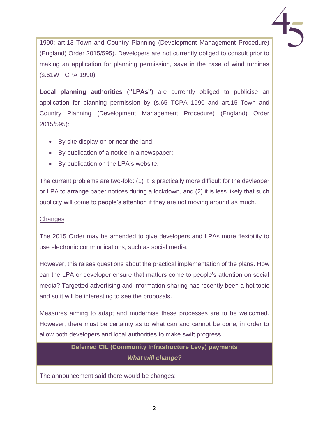1990; art.13 Town and Country Planning (Development Management Procedure) (England) Order 2015/595). Developers are not currently obliged to consult prior to making an application for planning permission, save in the case of wind turbines (s.61W TCPA 1990).

**Local planning authorities ("LPAs")** are currently obliged to publicise an application for planning permission by (s.65 TCPA 1990 and art.15 Town and Country Planning (Development Management Procedure) (England) Order 2015/595):

- By site display on or near the land;
- By publication of a notice in a newspaper;
- By publication on the LPA's website.

The current problems are two-fold: (1) It is practically more difficult for the devleoper or LPA to arrange paper notices during a lockdown, and (2) it is less likely that such publicity will come to people's attention if they are not moving around as much.

## **Changes**

The 2015 Order may be amended to give developers and LPAs more flexibility to use electronic communications, such as social media.

However, this raises questions about the practical implementation of the plans. How can the LPA or developer ensure that matters come to people's attention on social media? Targetted advertising and information-sharing has recently been a hot topic and so it will be interesting to see the proposals.

Measures aiming to adapt and modernise these processes are to be welcomed. However, there must be certainty as to what can and cannot be done, in order to allow both developers and local authorities to make swift progress.

# **Deferred CIL (Community Infrastructure Levy) payments** *What will change?*

The announcement said there would be changes: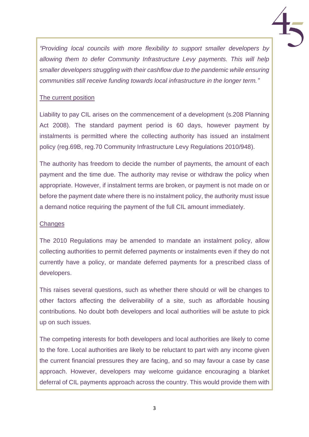

*"Providing local councils with more flexibility to support smaller developers by allowing them to defer Community Infrastructure Levy payments. This will help smaller developers struggling with their cashflow due to the pandemic while ensuring communities still receive funding towards local infrastructure in the longer term."*

### The current position

Liability to pay CIL arises on the commencement of a development (s.208 Planning Act 2008). The standard payment period is 60 days, however payment by instalments is permitted where the collecting authority has issued an instalment policy (reg.69B, reg.70 Community Infrastructure Levy Regulations 2010/948).

The authority has freedom to decide the number of payments, the amount of each payment and the time due. The authority may revise or withdraw the policy when appropriate. However, if instalment terms are broken, or payment is not made on or before the payment date where there is no instalment policy, the authority must issue a demand notice requiring the payment of the full CIL amount immediately.

#### **Changes**

The 2010 Regulations may be amended to mandate an instalment policy, allow collecting authorities to permit deferred payments or instalments even if they do not currently have a policy, or mandate deferred payments for a prescribed class of developers.

This raises several questions, such as whether there should or will be changes to other factors affecting the deliverability of a site, such as affordable housing contributions. No doubt both developers and local authorities will be astute to pick up on such issues.

The competing interests for both developers and local authorities are likely to come to the fore. Local authorities are likely to be reluctant to part with any income given the current financial pressures they are facing, and so may favour a case by case approach. However, developers may welcome guidance encouraging a blanket deferral of CIL payments approach across the country. This would provide them with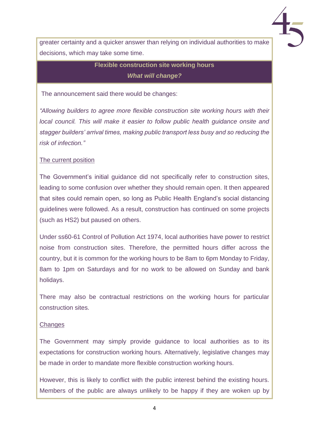

greater certainty and a quicker answer than relying on individual authorities to make decisions, which may take some time.

## **Flexible construction site working hours** *What will change?*

The announcement said there would be changes:

*"Allowing builders to agree more flexible construction site working hours with their local council. This will make it easier to follow public health guidance onsite and stagger builders' arrival times, making public transport less busy and so reducing the risk of infection."*

#### The current position

The Government's initial guidance did not specifically refer to construction sites, leading to some confusion over whether they should remain open. It then appeared that sites could remain open, so long as Public Health England's social distancing guidelines were followed. As a result, construction has continued on some projects (such as HS2) but paused on others.

Under ss60-61 Control of Pollution Act 1974, local authorities have power to restrict noise from construction sites. Therefore, the permitted hours differ across the country, but it is common for the working hours to be 8am to 6pm Monday to Friday, 8am to 1pm on Saturdays and for no work to be allowed on Sunday and bank holidays.

There may also be contractual restrictions on the working hours for particular construction sites.

#### **Changes**

The Government may simply provide guidance to local authorities as to its expectations for construction working hours. Alternatively, legislative changes may be made in order to mandate more flexible construction working hours.

However, this is likely to conflict with the public interest behind the existing hours. Members of the public are always unlikely to be happy if they are woken up by